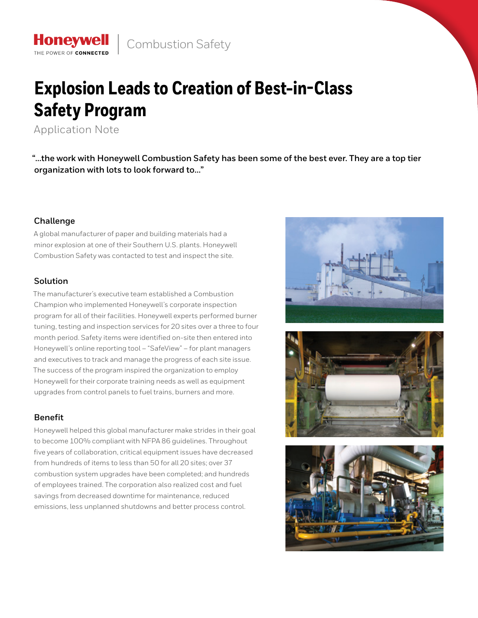# **Explosion Leads to Creation of Best-in-Class Safety Program**

Application Note

**Honeywell** THE POWER OF CONNECTE

**"…the work with Honeywell Combustion Safety has been some of the best ever. They are a top tier organization with lots to look forward to…"**

# **Challenge**

A global manufacturer of paper and building materials had a minor explosion at one of their Southern U.S. plants. Honeywell Combustion Safety was contacted to test and inspect the site.

# **Solution**

The manufacturer's executive team established a Combustion Champion who implemented Honeywell's corporate inspection program for all of their facilities. Honeywell experts performed burner tuning, testing and inspection services for 20 sites over a three to four month period. Safety items were identified on-site then entered into Honeywell's online reporting tool – "SafeView" – for plant managers and executives to track and manage the progress of each site issue. The success of the program inspired the organization to employ Honeywell for their corporate training needs as well as equipment upgrades from control panels to fuel trains, burners and more.

# **Benefit**

Honeywell helped this global manufacturer make strides in their goal to become 100% compliant with NFPA 86 guidelines. Throughout five years of collaboration, critical equipment issues have decreased from hundreds of items to less than 50 for all 20 sites; over 37 combustion system upgrades have been completed; and hundreds of employees trained. The corporation also realized cost and fuel savings from decreased downtime for maintenance, reduced emissions, less unplanned shutdowns and better process control.